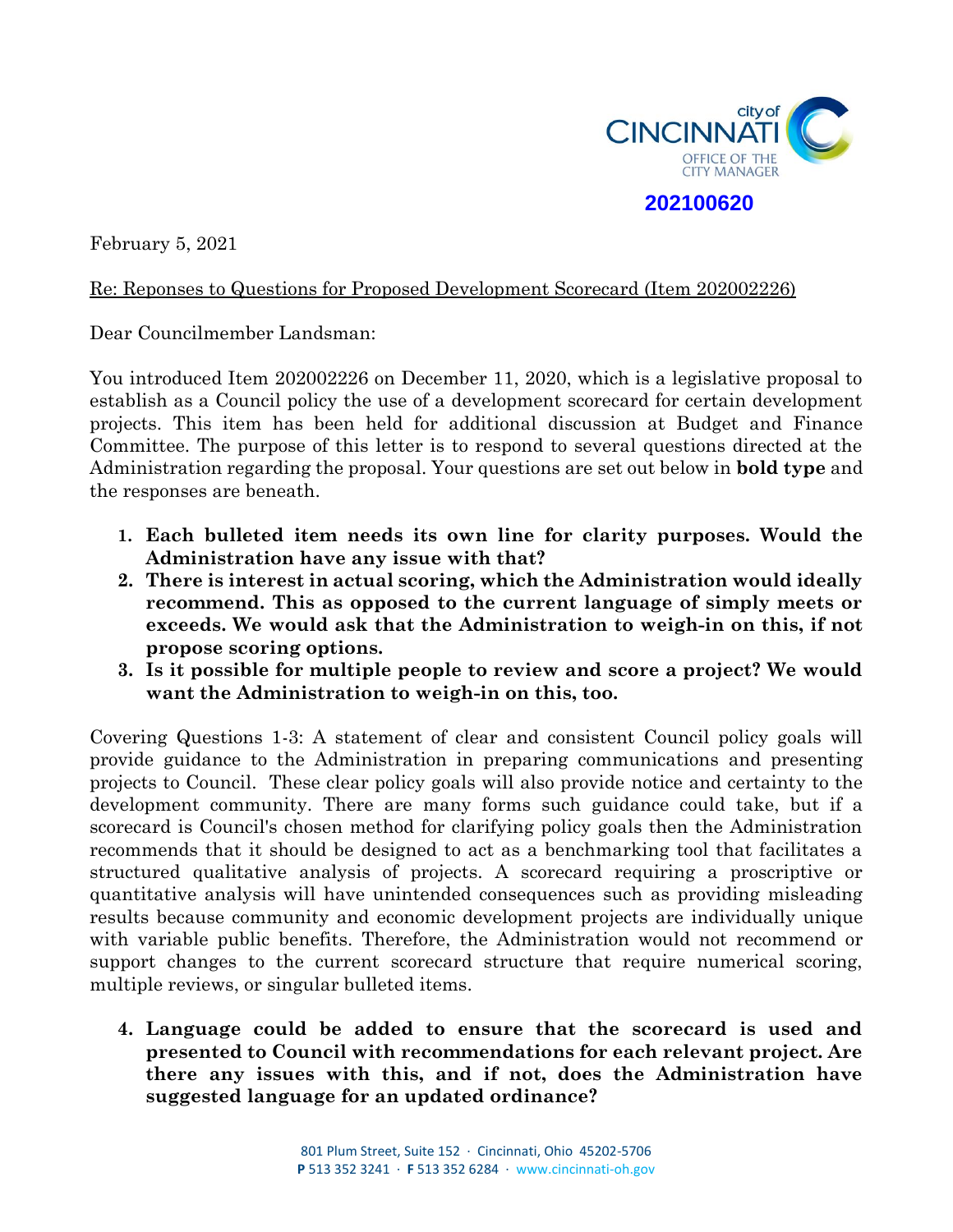

February 5, 2021

## Re: Reponses to Questions for Proposed Development Scorecard (Item 202002226)

Dear Councilmember Landsman:

You introduced Item 202002226 on December 11, 2020, which is a legislative proposal to establish as a Council policy the use of a development scorecard for certain development projects. This item has been held for additional discussion at Budget and Finance Committee. The purpose of this letter is to respond to several questions directed at the Administration regarding the proposal. Your questions are set out below in **bold type** and the responses are beneath.

- **1. Each bulleted item needs its own line for clarity purposes. Would the Administration have any issue with that?**
- **2. There is interest in actual scoring, which the Administration would ideally recommend. This as opposed to the current language of simply meets or exceeds. We would ask that the Administration to weigh-in on this, if not propose scoring options.**
- **3. Is it possible for multiple people to review and score a project? We would want the Administration to weigh-in on this, too.**

Covering Questions 1-3: A statement of clear and consistent Council policy goals will provide guidance to the Administration in preparing communications and presenting projects to Council. These clear policy goals will also provide notice and certainty to the development community. There are many forms such guidance could take, but if a scorecard is Council's chosen method for clarifying policy goals then the Administration recommends that it should be designed to act as a benchmarking tool that facilitates a structured qualitative analysis of projects. A scorecard requiring a proscriptive or quantitative analysis will have unintended consequences such as providing misleading results because community and economic development projects are individually unique with variable public benefits. Therefore, the Administration would not recommend or support changes to the current scorecard structure that require numerical scoring, multiple reviews, or singular bulleted items.

**4. Language could be added to ensure that the scorecard is used and presented to Council with recommendations for each relevant project. Are there any issues with this, and if not, does the Administration have suggested language for an updated ordinance?**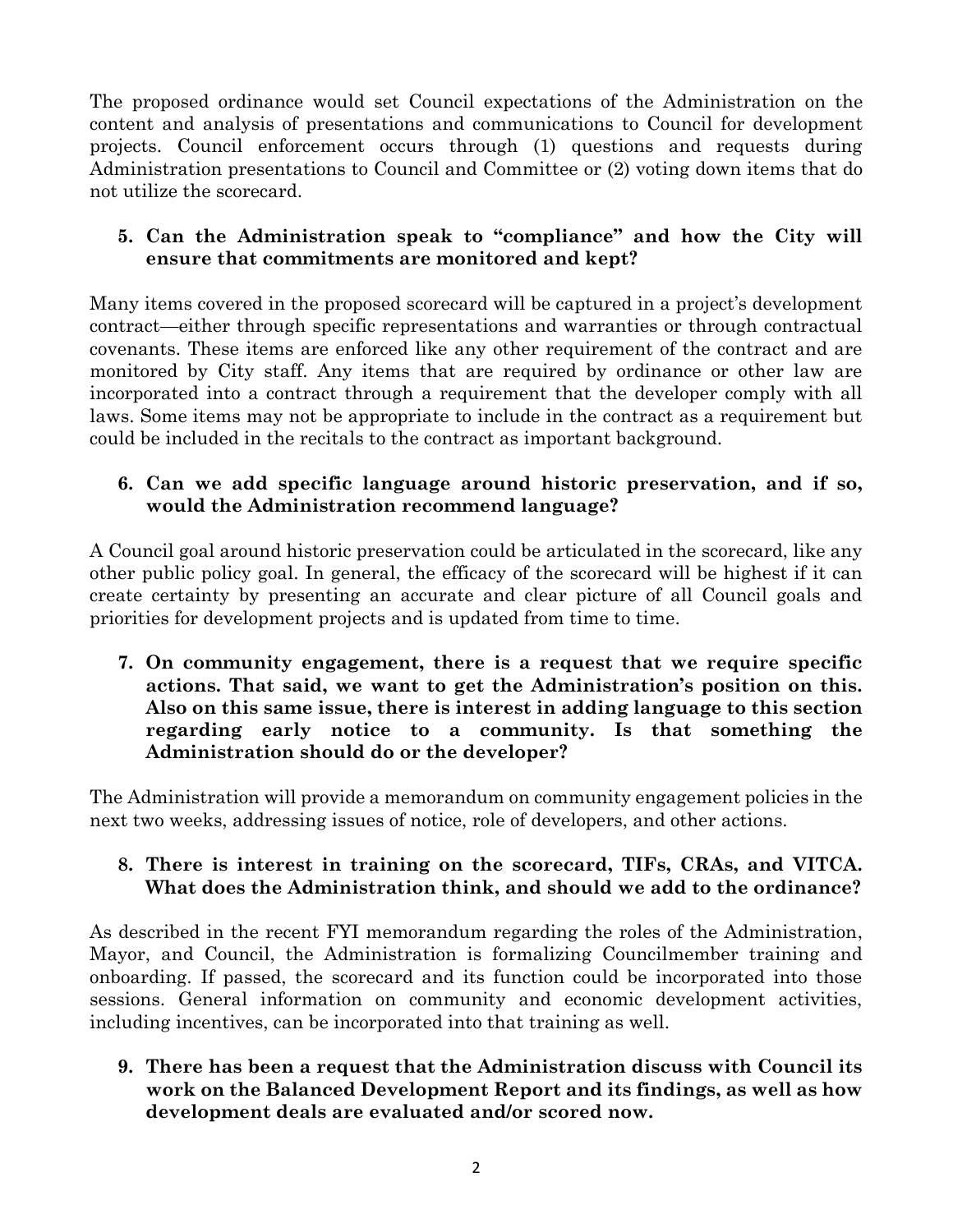The proposed ordinance would set Council expectations of the Administration on the content and analysis of presentations and communications to Council for development projects. Council enforcement occurs through (1) questions and requests during Administration presentations to Council and Committee or (2) voting down items that do not utilize the scorecard.

## **5. Can the Administration speak to "compliance" and how the City will ensure that commitments are monitored and kept?**

Many items covered in the proposed scorecard will be captured in a project's development contract—either through specific representations and warranties or through contractual covenants. These items are enforced like any other requirement of the contract and are monitored by City staff. Any items that are required by ordinance or other law are incorporated into a contract through a requirement that the developer comply with all laws. Some items may not be appropriate to include in the contract as a requirement but could be included in the recitals to the contract as important background.

## **6. Can we add specific language around historic preservation, and if so, would the Administration recommend language?**

A Council goal around historic preservation could be articulated in the scorecard, like any other public policy goal. In general, the efficacy of the scorecard will be highest if it can create certainty by presenting an accurate and clear picture of all Council goals and priorities for development projects and is updated from time to time.

**7. On community engagement, there is a request that we require specific actions. That said, we want to get the Administration's position on this. Also on this same issue, there is interest in adding language to this section regarding early notice to a community. Is that something the Administration should do or the developer?**

The Administration will provide a memorandum on community engagement policies in the next two weeks, addressing issues of notice, role of developers, and other actions.

## **8. There is interest in training on the scorecard, TIFs, CRAs, and VITCA. What does the Administration think, and should we add to the ordinance?**

As described in the recent FYI memorandum regarding the roles of the Administration, Mayor, and Council, the Administration is formalizing Councilmember training and onboarding. If passed, the scorecard and its function could be incorporated into those sessions. General information on community and economic development activities, including incentives, can be incorporated into that training as well.

**9. There has been a request that the Administration discuss with Council its work on the Balanced Development Report and its findings, as well as how development deals are evaluated and/or scored now.**